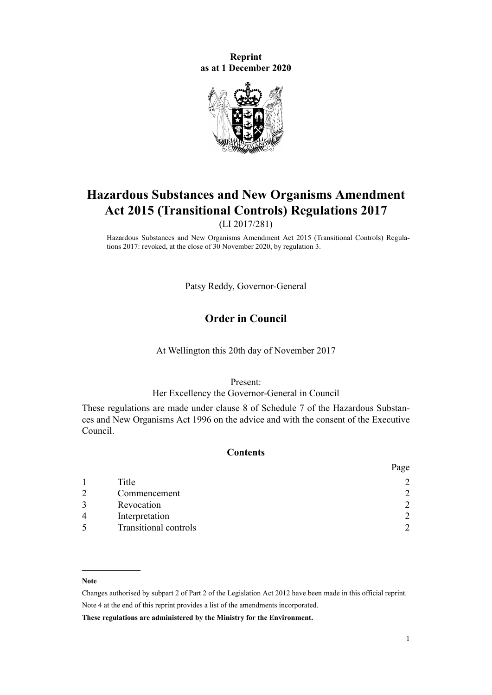**Reprint as at 1 December 2020**



# **Hazardous Substances and New Organisms Amendment Act 2015 (Transitional Controls) Regulations 2017**

(LI 2017/281)

Hazardous Substances and New Organisms Amendment Act 2015 (Transitional Controls) Regulations 2017: revoked, at the close of 30 November 2020, by [regulation 3](#page-1-0).

Patsy Reddy, Governor-General

# **Order in Council**

At Wellington this 20th day of November 2017

Present:

#### Her Excellency the Governor-General in Council

These regulations are made under [clause 8](http://legislation.govt.nz/pdflink.aspx?id=DLM7503978) of Schedule 7 of the [Hazardous Substan](http://legislation.govt.nz/pdflink.aspx?id=DLM381221)[ces and New Organisms Act 1996](http://legislation.govt.nz/pdflink.aspx?id=DLM381221) on the advice and with the consent of the Executive Council.

#### **Contents**

|                |                              | rage          |
|----------------|------------------------------|---------------|
|                | Title                        | っ             |
|                | Commencement                 | っ             |
|                | Revocation                   | $\mathcal{D}$ |
| $\overline{A}$ | Interpretation               | $\mathcal{D}$ |
|                | <b>Transitional controls</b> | C             |

#### **Note**

Changes authorised by [subpart 2](http://legislation.govt.nz/pdflink.aspx?id=DLM2998524) of Part 2 of the Legislation Act 2012 have been made in this official reprint. Note 4 at the end of this reprint provides a list of the amendments incorporated.

**These regulations are administered by the Ministry for the Environment.**

 $\mathbf{p}$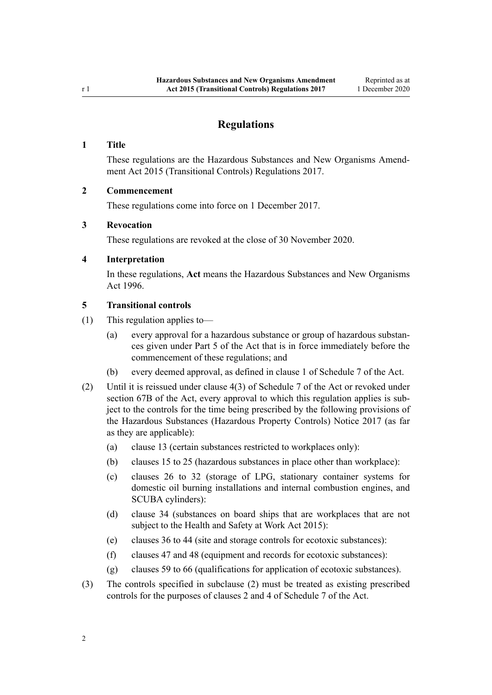# **Regulations**

#### <span id="page-1-0"></span>**1 Title**

These regulations are the Hazardous Substances and New Organisms Amendment Act 2015 (Transitional Controls) Regulations 2017.

#### **2 Commencement**

These regulations come into force on 1 December 2017.

#### **3 Revocation**

These regulations are revoked at the close of 30 November 2020.

#### **4 Interpretation**

In these regulations, **Act** means the [Hazardous Substances and New Organisms](http://legislation.govt.nz/pdflink.aspx?id=DLM381221) [Act 1996.](http://legislation.govt.nz/pdflink.aspx?id=DLM381221)

## **5 Transitional controls**

- (1) This regulation applies to—
	- (a) every approval for a hazardous substance or group of hazardous substances given under [Part 5](http://legislation.govt.nz/pdflink.aspx?id=DLM383157) of the Act that is in force immediately before the commencement of these regulations; and
	- (b) every deemed approval, as defined in [clause 1](http://legislation.govt.nz/pdflink.aspx?id=DLM7503924) of Schedule 7 of the Act.
- (2) Until it is reissued under [clause 4\(3\)](http://legislation.govt.nz/pdflink.aspx?id=DLM7503939) of Schedule 7 of the Act or revoked under [section 67B](http://legislation.govt.nz/pdflink.aspx?id=DLM7498905) of the Act, every approval to which this regulation applies is subject to the controls for the time being prescribed by the following provisions of the Hazardous Substances (Hazardous Property Controls) Notice 2017 (as far as they are applicable):
	- (a) clause 13 (certain substances restricted to workplaces only):
	- (b) clauses 15 to 25 (hazardous substances in place other than workplace):
	- (c) clauses 26 to 32 (storage of LPG, stationary container systems for domestic oil burning installations and internal combustion engines, and SCUBA cylinders):
	- (d) clause 34 (substances on board ships that are workplaces that are not subject to the [Health and Safety at Work Act 2015](http://legislation.govt.nz/pdflink.aspx?id=DLM5976602)):
	- (e) clauses 36 to 44 (site and storage controls for ecotoxic substances):
	- (f) clauses 47 and 48 (equipment and records for ecotoxic substances):
	- (g) clauses 59 to 66 (qualifications for application of ecotoxic substances).
- (3) The controls specified in subclause (2) must be treated as existing prescribed controls for the purposes of [clauses 2](http://legislation.govt.nz/pdflink.aspx?id=DLM7503937) and [4](http://legislation.govt.nz/pdflink.aspx?id=DLM7503939) of Schedule 7 of the Act.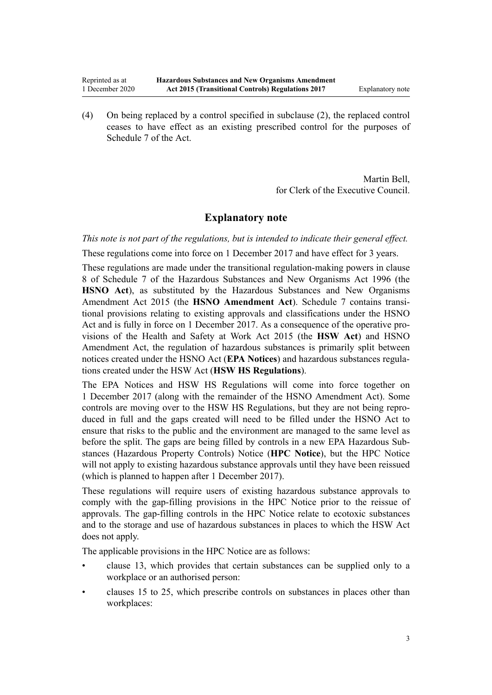(4) On being replaced by a control specified in subclause (2), the replaced control ceases to have effect as an existing prescribed control for the purposes of [Schedule 7](http://legislation.govt.nz/pdflink.aspx?id=DLM386828) of the Act.

> Martin Bell, for Clerk of the Executive Council.

### **Explanatory note**

*This note is not part of the regulations, but is intended to indicate their general effect.*

These regulations come into force on 1 December 2017 and have effect for 3 years.

These regulations are made under the transitional regulation-making powers in [clause](http://legislation.govt.nz/pdflink.aspx?id=DLM7503978) [8](http://legislation.govt.nz/pdflink.aspx?id=DLM7503978) of Schedule 7 of the Hazardous Substances and New Organisms Act 1996 (the **HSNO Act**), as substituted by the [Hazardous Substances and New Organisms](http://legislation.govt.nz/pdflink.aspx?id=DLM6564902) [Amendment Act 2015](http://legislation.govt.nz/pdflink.aspx?id=DLM6564902) (the **HSNO Amendment Act**). [Schedule 7](http://legislation.govt.nz/pdflink.aspx?id=DLM386828) contains transitional provisions relating to existing approvals and classifications under the HSNO Act and is fully in force on 1 December 2017. As a consequence of the operative provisions of the [Health and Safety at Work Act 2015](http://legislation.govt.nz/pdflink.aspx?id=DLM5976602) (the **HSW Act**) and HSNO Amendment Act, the regulation of hazardous substances is primarily split between notices created under the HSNO Act (**EPA Notices**) and hazardous substances regulations created under the HSW Act (**HSW HS Regulations**).

The EPA Notices and HSW HS Regulations will come into force together on 1 December 2017 (along with the remainder of the HSNO Amendment Act). Some controls are moving over to the HSW HS Regulations, but they are not being reproduced in full and the gaps created will need to be filled under the HSNO Act to ensure that risks to the public and the environment are managed to the same level as before the split. The gaps are being filled by controls in a new EPA Hazardous Substances (Hazardous Property Controls) Notice (**HPC Notice**), but the HPC Notice will not apply to existing hazardous substance approvals until they have been reissued (which is planned to happen after 1 December 2017).

These regulations will require users of existing hazardous substance approvals to comply with the gap-filling provisions in the HPC Notice prior to the reissue of approvals. The gap-filling controls in the HPC Notice relate to ecotoxic substances and to the storage and use of hazardous substances in places to which the HSW Act does not apply.

The applicable provisions in the HPC Notice are as follows:

- clause 13, which provides that certain substances can be supplied only to a workplace or an authorised person:
- clauses 15 to 25, which prescribe controls on substances in places other than workplaces: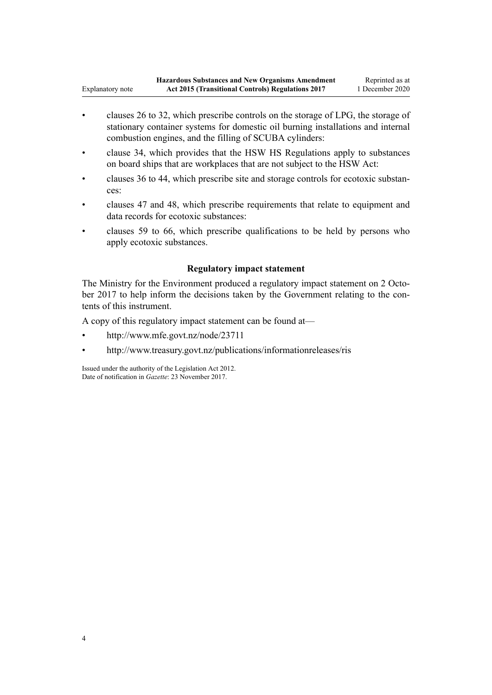- clauses 26 to 32, which prescribe controls on the storage of LPG, the storage of stationary container systems for domestic oil burning installations and internal combustion engines, and the filling of SCUBA cylinders:
- clause 34, which provides that the HSW HS Regulations apply to substances on board ships that are workplaces that are not subject to the HSW Act:
- clauses 36 to 44, which prescribe site and storage controls for ecotoxic substances:
- clauses 47 and 48, which prescribe requirements that relate to equipment and data records for ecotoxic substances:
- clauses 59 to 66, which prescribe qualifications to be held by persons who apply ecotoxic substances.

## **Regulatory impact statement**

The Ministry for the Environment produced a regulatory impact statement on 2 October 2017 to help inform the decisions taken by the Government relating to the contents of this instrument.

A copy of this regulatory impact statement can be found at—

• <http://www.mfe.govt.nz/node/23711>

Explanatory note

• <http://www.treasury.govt.nz/publications/informationreleases/ris>

Issued under the authority of the [Legislation Act 2012](http://legislation.govt.nz/pdflink.aspx?id=DLM2997643). Date of notification in *Gazette*: 23 November 2017.